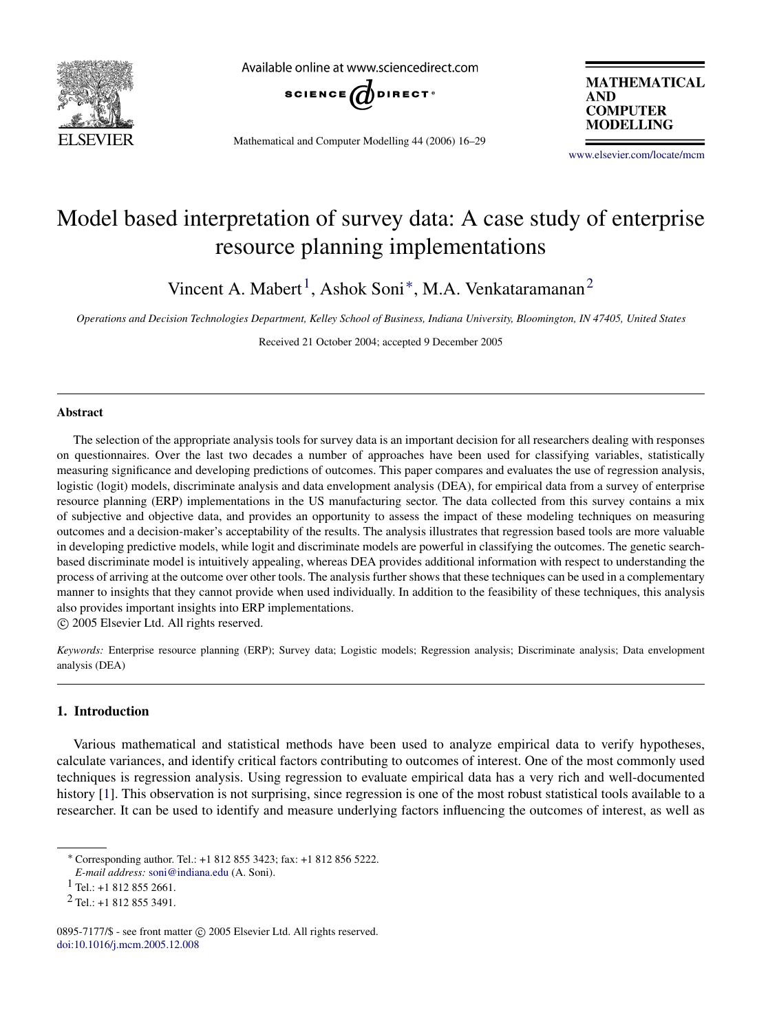

Available online at www.sciencedirect.com



Mathematical and Computer Modelling 44 (2006) 16–29

**MATHEMATICAL AND COMPUTER MODELLING** 

[www.elsevier.com/locate/mcm](http://www.elsevier.com/locate/mcm)

## Model based interpretation of survey data: A case study of enterprise resource planning implementations

Vincent A. Mabert<sup>[1](#page-0-0)</sup>, Ashok Soni<sup>\*</sup>, M.A. Venkataramanan<sup>[2](#page-0-2)</sup>

*Operations and Decision Technologies Department, Kelley School of Business, Indiana University, Bloomington, IN 47405, United States*

Received 21 October 2004; accepted 9 December 2005

#### Abstract

The selection of the appropriate analysis tools for survey data is an important decision for all researchers dealing with responses on questionnaires. Over the last two decades a number of approaches have been used for classifying variables, statistically measuring significance and developing predictions of outcomes. This paper compares and evaluates the use of regression analysis, logistic (logit) models, discriminate analysis and data envelopment analysis (DEA), for empirical data from a survey of enterprise resource planning (ERP) implementations in the US manufacturing sector. The data collected from this survey contains a mix of subjective and objective data, and provides an opportunity to assess the impact of these modeling techniques on measuring outcomes and a decision-maker's acceptability of the results. The analysis illustrates that regression based tools are more valuable in developing predictive models, while logit and discriminate models are powerful in classifying the outcomes. The genetic searchbased discriminate model is intuitively appealing, whereas DEA provides additional information with respect to understanding the process of arriving at the outcome over other tools. The analysis further shows that these techniques can be used in a complementary manner to insights that they cannot provide when used individually. In addition to the feasibility of these techniques, this analysis also provides important insights into ERP implementations.

c 2005 Elsevier Ltd. All rights reserved.

*Keywords:* Enterprise resource planning (ERP); Survey data; Logistic models; Regression analysis; Discriminate analysis; Data envelopment analysis (DEA)

#### 1. Introduction

Various mathematical and statistical methods have been used to analyze empirical data to verify hypotheses, calculate variances, and identify critical factors contributing to outcomes of interest. One of the most commonly used techniques is regression analysis. Using regression to evaluate empirical data has a very rich and well-documented history [\[1\]](#page--1-0). This observation is not surprising, since regression is one of the most robust statistical tools available to a researcher. It can be used to identify and measure underlying factors influencing the outcomes of interest, as well as

<span id="page-0-1"></span><sup>∗</sup> Corresponding author. Tel.: +1 812 855 3423; fax: +1 812 856 5222.

*E-mail address:* [soni@indiana.edu](mailto:soni@indiana.edu) (A. Soni).

<span id="page-0-0"></span> $1$  Tel.: +1 812 855 2661.

<span id="page-0-2"></span><sup>2</sup> Tel.: +1 812 855 3491.

<sup>0895-7177/\$ -</sup> see front matter © 2005 Elsevier Ltd. All rights reserved. [doi:10.1016/j.mcm.2005.12.008](http://dx.doi.org/10.1016/j.mcm.2005.12.008)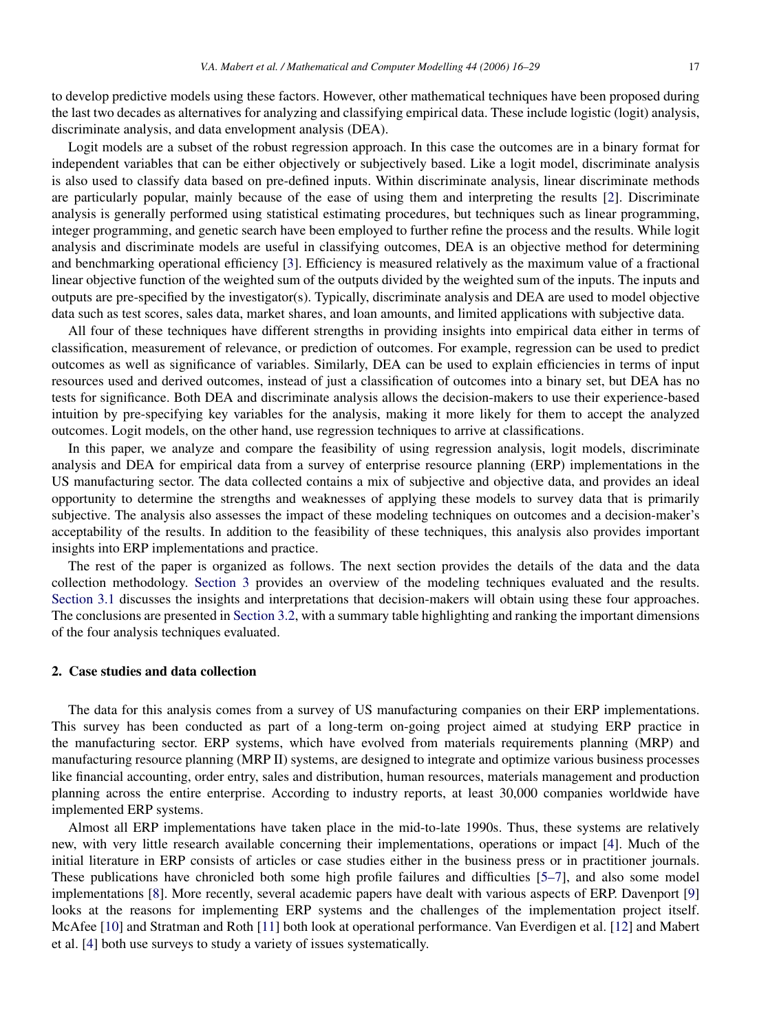to develop predictive models using these factors. However, other mathematical techniques have been proposed during the last two decades as alternatives for analyzing and classifying empirical data. These include logistic (logit) analysis, discriminate analysis, and data envelopment analysis (DEA).

Logit models are a subset of the robust regression approach. In this case the outcomes are in a binary format for independent variables that can be either objectively or subjectively based. Like a logit model, discriminate analysis is also used to classify data based on pre-defined inputs. Within discriminate analysis, linear discriminate methods are particularly popular, mainly because of the ease of using them and interpreting the results [\[2\]](#page--1-1). Discriminate analysis is generally performed using statistical estimating procedures, but techniques such as linear programming, integer programming, and genetic search have been employed to further refine the process and the results. While logit analysis and discriminate models are useful in classifying outcomes, DEA is an objective method for determining and benchmarking operational efficiency [\[3\]](#page--1-2). Efficiency is measured relatively as the maximum value of a fractional linear objective function of the weighted sum of the outputs divided by the weighted sum of the inputs. The inputs and outputs are pre-specified by the investigator(s). Typically, discriminate analysis and DEA are used to model objective data such as test scores, sales data, market shares, and loan amounts, and limited applications with subjective data.

All four of these techniques have different strengths in providing insights into empirical data either in terms of classification, measurement of relevance, or prediction of outcomes. For example, regression can be used to predict outcomes as well as significance of variables. Similarly, DEA can be used to explain efficiencies in terms of input resources used and derived outcomes, instead of just a classification of outcomes into a binary set, but DEA has no tests for significance. Both DEA and discriminate analysis allows the decision-makers to use their experience-based intuition by pre-specifying key variables for the analysis, making it more likely for them to accept the analyzed outcomes. Logit models, on the other hand, use regression techniques to arrive at classifications.

In this paper, we analyze and compare the feasibility of using regression analysis, logit models, discriminate analysis and DEA for empirical data from a survey of enterprise resource planning (ERP) implementations in the US manufacturing sector. The data collected contains a mix of subjective and objective data, and provides an ideal opportunity to determine the strengths and weaknesses of applying these models to survey data that is primarily subjective. The analysis also assesses the impact of these modeling techniques on outcomes and a decision-maker's acceptability of the results. In addition to the feasibility of these techniques, this analysis also provides important insights into ERP implementations and practice.

The rest of the paper is organized as follows. The next section provides the details of the data and the data collection methodology. [Section 3](#page--1-3) provides an overview of the modeling techniques evaluated and the results. [Section 3.1](#page--1-4) discusses the insights and interpretations that decision-makers will obtain using these four approaches. The conclusions are presented in [Section 3.2,](#page--1-5) with a summary table highlighting and ranking the important dimensions of the four analysis techniques evaluated.

### 2. Case studies and data collection

The data for this analysis comes from a survey of US manufacturing companies on their ERP implementations. This survey has been conducted as part of a long-term on-going project aimed at studying ERP practice in the manufacturing sector. ERP systems, which have evolved from materials requirements planning (MRP) and manufacturing resource planning (MRP II) systems, are designed to integrate and optimize various business processes like financial accounting, order entry, sales and distribution, human resources, materials management and production planning across the entire enterprise. According to industry reports, at least 30,000 companies worldwide have implemented ERP systems.

Almost all ERP implementations have taken place in the mid-to-late 1990s. Thus, these systems are relatively new, with very little research available concerning their implementations, operations or impact [\[4\]](#page--1-6). Much of the initial literature in ERP consists of articles or case studies either in the business press or in practitioner journals. These publications have chronicled both some high profile failures and difficulties [\[5–7\]](#page--1-7), and also some model implementations [\[8\]](#page--1-8). More recently, several academic papers have dealt with various aspects of ERP. Davenport [\[9\]](#page--1-9) looks at the reasons for implementing ERP systems and the challenges of the implementation project itself. McAfee [\[10\]](#page--1-10) and Stratman and Roth [\[11\]](#page--1-11) both look at operational performance. Van Everdigen et al. [\[12\]](#page--1-12) and Mabert et al. [\[4\]](#page--1-6) both use surveys to study a variety of issues systematically.